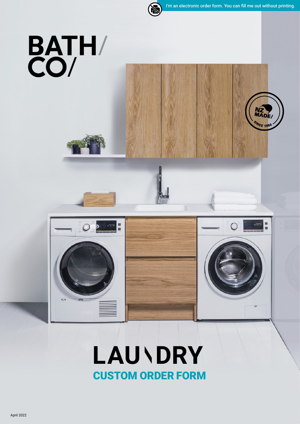NZ<br>MADE

WCE 195

ii<br>B

 $\bigcap$ 



# BATH/



## **LAU\DRY** CUSTOM ORDER FORM

April 2022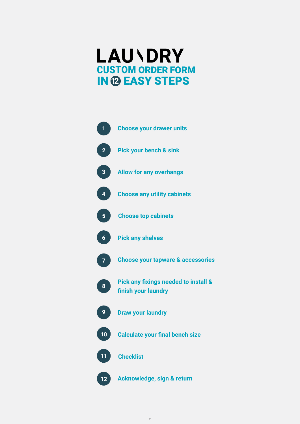## **LAU\DRY** CUSTOM ORDER FORM **IN @ EASY STEPS**



2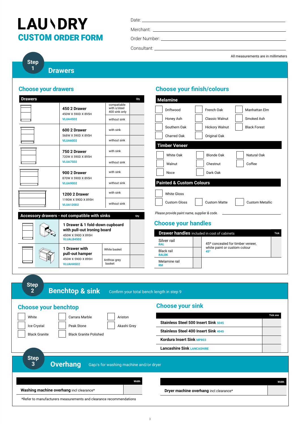Date:

Merchant: \_

Order Number:

Consultant:

All measurements are in millimeters

**Step 1** 

**Drawers**

#### **Choose your drawers**

| <b>Drawers</b> |                                                       |                                              | Qty |
|----------------|-------------------------------------------------------|----------------------------------------------|-----|
|                | 450 2 Drawer<br>450W X 590D X 895H                    | compatiable<br>with s/steel<br>400 sink only |     |
|                | <b>VLUA45D2</b>                                       | without sink                                 |     |
|                | 600 2 Drawer<br>568W X 590D X 895H                    | with sink                                    |     |
|                | VLUA60D2                                              | without sink                                 |     |
|                | 750 2 Drawer<br>720W X 590D X 895H<br><b>VLUA75D2</b> | with sink                                    |     |
|                |                                                       | without sink                                 |     |
|                | 900 2 Drawer<br>870W X 590D X 895H<br><b>VLUA90D2</b> | with sink                                    |     |
|                |                                                       | without sink                                 |     |
|                | <b>1200 2 Drawer</b>                                  | with sink                                    |     |
|                | 1190W X 590D X 895H<br><b>VLUA120D2</b>               | without sink                                 |     |

|  |                                                                | Accessory drawers - not compatible with sinks |                        | Qty |
|--|----------------------------------------------------------------|-----------------------------------------------|------------------------|-----|
|  | 1 Drawer & 1 fold-down cupboard<br>with pull-out Ironing board |                                               |                        |     |
|  |                                                                | 450W X 590D X 895H<br><b>VLUALB45D2</b>       |                        |     |
|  |                                                                | 1 Drawer with<br>pull-out hamper              | White basket           |     |
|  |                                                                | 450W X 590D X 895H<br><b>VLUAH45D2</b>        | Anthrax grey<br>basket |     |
|  |                                                                |                                               |                        |     |

#### **Choose your finish/colours**

| Qty | <b>Melamine</b>                                                                            |
|-----|--------------------------------------------------------------------------------------------|
|     | Driftwood<br>French Oak<br>Manhattan Elm                                                   |
|     | <b>Classic Walnut</b><br>Smoked Ash<br>Honey Ash                                           |
|     | Southern Oak<br><b>Hickory Walnut</b><br><b>Black Forest</b>                               |
|     | Charred Oak<br>Original Oak                                                                |
|     | <b>Timber Veneer</b>                                                                       |
|     | White Oak<br><b>Blonde Oak</b><br>Natural Oak                                              |
|     | Coffee<br>Walnut<br>Chestnut                                                               |
|     | Dark Oak<br>Noce                                                                           |
|     | <b>Painted &amp; Custom Colours</b>                                                        |
|     | <b>White Gloss</b><br><b>Custom Gloss</b><br><b>Custom Matte</b><br><b>Custom Metallic</b> |
| Qty | Please provide paint name, supplier & code.                                                |
|     | <b>Choose your handles</b>                                                                 |
|     | <b>Drawer handles</b> included in cost of cabinets<br><b>Tick</b>                          |
|     | Silver rail<br>$100 - 200 - 200 = 100$                                                     |

| <b>Drawer nangles</b> included in cost of cabinets |  |                                     | Tick |
|----------------------------------------------------|--|-------------------------------------|------|
| Silver rail<br><b>RAL</b>                          |  | 45° concealed for timber veneer,    |      |
| <b>Black rail</b><br><b>RALBK</b>                  |  | white paint or custom colour<br>45° |      |
| Melamine rail<br><b>RM</b>                         |  |                                     |      |
|                                                    |  |                                     |      |

| <b>Step</b> | <b>Benchtop &amp; sink</b> |
|-------------|----------------------------|
|             |                            |

**2** Confirm your total bench length in step 9

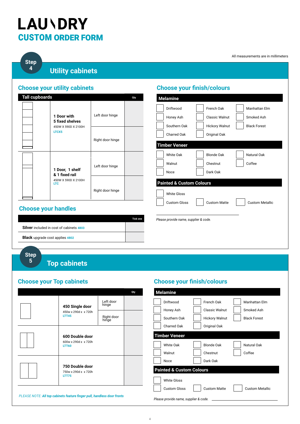**Step 4** 

#### **Utility cabinets**

#### **Choose your utility cabinets**

| <b>Tall cupboards</b> |                                                       |                  | Qty |
|-----------------------|-------------------------------------------------------|------------------|-----|
|                       | 1 Door with<br>5 fixed shelves<br>450W X 590D X 2100H | Left door hinge  |     |
|                       | LTCX5                                                 | Right door hinge |     |
|                       | 1 Door, 1 shelf<br>& 1 fixed rail                     | Left door hinge  |     |
|                       | 450W X 590D X 2100H<br><b>LTC</b>                     | Right door hinge |     |

#### **Choose your handles**

|                                                 | <b>Tick one</b> |
|-------------------------------------------------|-----------------|
| <b>Silver</b> included in cost of cabinets 4803 |                 |
| <b>Black</b> upgrade cost applies 4802          |                 |

#### **Choose your finish/colours**

| Driftwood                             | French Oak            | Manhattan Elm          |
|---------------------------------------|-----------------------|------------------------|
| Honey Ash                             | Classic Walnut        | Smoked Ash             |
| Southern Oak                          | <b>Hickory Walnut</b> | <b>Black Forest</b>    |
| <b>Charred Oak</b>                    | Original Oak          |                        |
| <b>Timber Veneer</b>                  |                       |                        |
| White Oak                             | <b>Blonde Oak</b>     | Natural Oak            |
| Walnut                                | Chestnut              | Coffee                 |
| <b>Noce</b>                           | Dark Oak              |                        |
| <b>Painted &amp; Custom Colours</b>   |                       |                        |
| <b>White Gloss</b>                    |                       |                        |
| <b>Custom Gloss</b>                   | <b>Custom Matte</b>   | <b>Custom Metallic</b> |
|                                       |                       |                        |
| Please provide name, supplier & code. |                       |                        |

**Step** 

#### **5**

#### **Top cabinets**

#### **Choose your Top cabinets**

|                                                         |                     | Qty |
|---------------------------------------------------------|---------------------|-----|
| 450 Single door                                         | Left door<br>hinge  |     |
| 450w x 290d x x 720h<br><b>LTT45</b>                    | Right door<br>hinge |     |
| 600 Double door<br>600w x 290d x x 720h<br><b>LTT60</b> |                     |     |
| 750 Double door<br>750w x 290d x x 720h<br><b>LTT75</b> |                     |     |

#### **Choose your finish/colours**

| <b>Melamine</b>                       |                       |                        |
|---------------------------------------|-----------------------|------------------------|
| Driftwood                             | French Oak            | Manhattan Elm          |
| Honey Ash                             | <b>Classic Walnut</b> | Smoked Ash             |
| Southern Oak                          | <b>Hickory Walnut</b> | <b>Black Forest</b>    |
| <b>Charred Oak</b>                    | Original Oak          |                        |
| <b>Timber Veneer</b>                  |                       |                        |
| White Oak                             | <b>Blonde Oak</b>     | Natural Oak            |
| Walnut                                | Chestnut              | Coffee                 |
| <b>Noce</b>                           | Dark Oak              |                        |
| <b>Painted &amp; Custom Colours</b>   |                       |                        |
| <b>White Gloss</b>                    |                       |                        |
| <b>Custom Gloss</b>                   | <b>Custom Matte</b>   | <b>Custom Metallic</b> |
| Please provide name, supplier & code. |                       |                        |

*PLEASE NOTE: All top cabinets feature finger pull, handless door fronts*

All measurements are in millimeters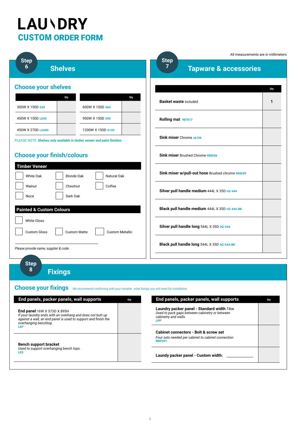|                                                                                                                                                                                      |                        | All measurements are in millimeters                                                                                               |     |
|--------------------------------------------------------------------------------------------------------------------------------------------------------------------------------------|------------------------|-----------------------------------------------------------------------------------------------------------------------------------|-----|
| <b>Step</b><br>6<br><b>Shelves</b>                                                                                                                                                   |                        | <b>Step</b><br>7<br><b>Tapware &amp; accessories</b>                                                                              |     |
| <b>Choose your shelves</b>                                                                                                                                                           |                        |                                                                                                                                   | Qty |
| Qty<br>300W X 150D \$30<br>600W X 150D S60                                                                                                                                           | Qty                    | <b>Basket waste included</b>                                                                                                      | 1   |
| 450W X 150D LD45<br>900W X 150D \$90                                                                                                                                                 |                        | Rolling mat 987017                                                                                                                |     |
| 450W X 270D LS45D<br>1200W X 150D \$120<br>PLEASE NOTE: Shelves only available in timber veneer and paint finishes                                                                   |                        | Sink mixer Chrome ck106                                                                                                           |     |
| <b>Choose your finish/colours</b>                                                                                                                                                    |                        | Sink mixer Brushed Chrome 980056                                                                                                  |     |
| <b>Timber Veneer</b><br><b>White Oak</b><br><b>Blonde Oak</b>                                                                                                                        | Natural Oak            | Sink mixer w/pull-out hose Brushed chrome 980039                                                                                  |     |
| Walnut<br>Chestnut<br>Dark Oak<br>Noce                                                                                                                                               | Coffee                 | Silver pull handle medium 444L X 35D H2-444                                                                                       |     |
| <b>Painted &amp; Custom Colours</b>                                                                                                                                                  |                        | Black pull handle medium 444L X 35D H2-444-BK                                                                                     |     |
| <b>White Gloss</b><br><b>Custom Gloss</b><br><b>Custom Matte</b>                                                                                                                     | <b>Custom Metallic</b> | Silver pull handle long 544L X 35D H2-544                                                                                         |     |
| Please provide name, supplier & code.                                                                                                                                                |                        | Black pull handle long 544L X 35D H2-544-BK                                                                                       |     |
| <b>Step</b><br>8<br><b>Fixings</b>                                                                                                                                                   |                        |                                                                                                                                   |     |
| <b>Choose your fixings</b> We recommend confirming with your installer what fixings you will need for installation.                                                                  |                        |                                                                                                                                   |     |
| End panels, packer panels, wall supports                                                                                                                                             | Qty                    | End panels, packer panels, wall supports                                                                                          | Qty |
| End panel 16W X 573D X 895H<br>If your laundry ends with an overhang and does not butt up<br>against a wall, an end panel is used to support and finish the<br>overhanging benchtop. |                        | Laundry packer panel - Standard width 16w<br>Used to pack gaps between cabinetry or between<br>cabinetry and walls.<br><b>LPP</b> |     |
| LEP                                                                                                                                                                                  |                        | <b>Cabinet connectors - Bolt &amp; screw set</b><br>Four sets needed per cabinet to cabinet connection<br><b>RMF091</b>           |     |

**Bench support bracket**

*Used to support overhanging bench tops.* **LES**

**Laundy packer panel - Custom width:**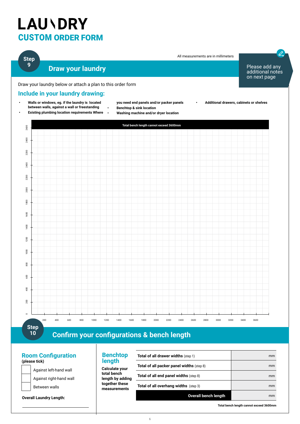#### **Step 9**

#### **Draw your laundry**

Draw your laundry below or attach a plan to this order form

#### **Include in your laundry drawing:**



**10**

#### **Confirm your configurations & bench length**

#### **Room Configuration (please tick)**



**Overall Laundry Length:** 

#### **Benchtop length**

**Calculate your total bench length by adding together these measurements**

| <b>Total of all drawer widths (step 1)</b>       | mm |
|--------------------------------------------------|----|
| <b>Total of all packer panel widths (step 8)</b> | mm |
| <b>Total of all end panel widths (step 8)</b>    | mm |
| <b>Total of all overhang widths</b> (step 3)     | mm |
| <b>Overall bench length</b>                      | mm |

**Total bench length cannot exceed 3600mm**

Please add any additional notes on next page

 $\overline{\mathscr{L}}$ .

All measurements are in millimeters

 $\sim$  6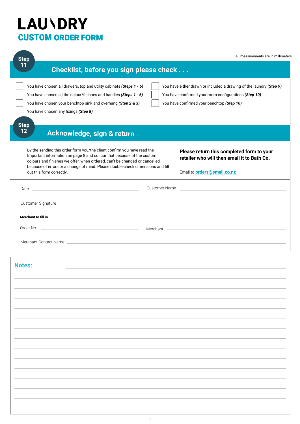| <b>Step</b>                                                                                                                                                                                                                                                                                                                                                                                                                                                                       |                      | All measurements are in millimeters                                                                                            |
|-----------------------------------------------------------------------------------------------------------------------------------------------------------------------------------------------------------------------------------------------------------------------------------------------------------------------------------------------------------------------------------------------------------------------------------------------------------------------------------|----------------------|--------------------------------------------------------------------------------------------------------------------------------|
| 11<br>Checklist, before you sign please check                                                                                                                                                                                                                                                                                                                                                                                                                                     |                      |                                                                                                                                |
| You have chosen all drawers, top and utility cabinets (Steps 1 - 6)<br>You have either drawn or included a drawing of the laundry (Step 9)<br>You have chosen all the colour/finishes and handles (Steps 1 - 6)<br>You have confirmed your room configurations (Step 10)<br>You have confirmed your benchtop (Step 10)<br>You have chosen your benchtop sink and overhang (Step 2 & 3)<br>You have chosen any fixings (Step 8)<br><b>Step</b><br>12<br>Acknowledge, sign & return |                      |                                                                                                                                |
| By the sending this order form you/the client confirm you have read the<br>Important information on page 8 and concur that because of the custom<br>colours and finishes we offer, when ordered, can't be changed or cancelled<br>because of errors or a change of mind. Please double-check dimensions and fill<br>out this form correctly.                                                                                                                                      |                      | Please return this completed form to your<br>retailer who will then email it to Bath Co.<br>Email to <b>orders@smail.co.nz</b> |
| Date and the contract of the contract of the contract of the contract of the contract of the contract of the contract of the contract of the contract of the contract of the contract of the contract of the contract of the c                                                                                                                                                                                                                                                    | <b>Customer Name</b> |                                                                                                                                |
| Customer Signature                                                                                                                                                                                                                                                                                                                                                                                                                                                                |                      |                                                                                                                                |
| Merchant to fill in                                                                                                                                                                                                                                                                                                                                                                                                                                                               |                      |                                                                                                                                |
| Order No.<br><u> Alexandria de la contrada de la contrada de la contrada de la contrada de la contrada de la contrada de la c</u>                                                                                                                                                                                                                                                                                                                                                 | Merchant             | <u> 1989 - Johann Barbara, martin amerikan basal dan berasal dan berasal dan berasal dan berasal dan berasal dan</u>           |
|                                                                                                                                                                                                                                                                                                                                                                                                                                                                                   |                      |                                                                                                                                |
| <b>Notes:</b>                                                                                                                                                                                                                                                                                                                                                                                                                                                                     |                      |                                                                                                                                |
|                                                                                                                                                                                                                                                                                                                                                                                                                                                                                   |                      |                                                                                                                                |
|                                                                                                                                                                                                                                                                                                                                                                                                                                                                                   |                      |                                                                                                                                |
|                                                                                                                                                                                                                                                                                                                                                                                                                                                                                   |                      |                                                                                                                                |
|                                                                                                                                                                                                                                                                                                                                                                                                                                                                                   |                      |                                                                                                                                |